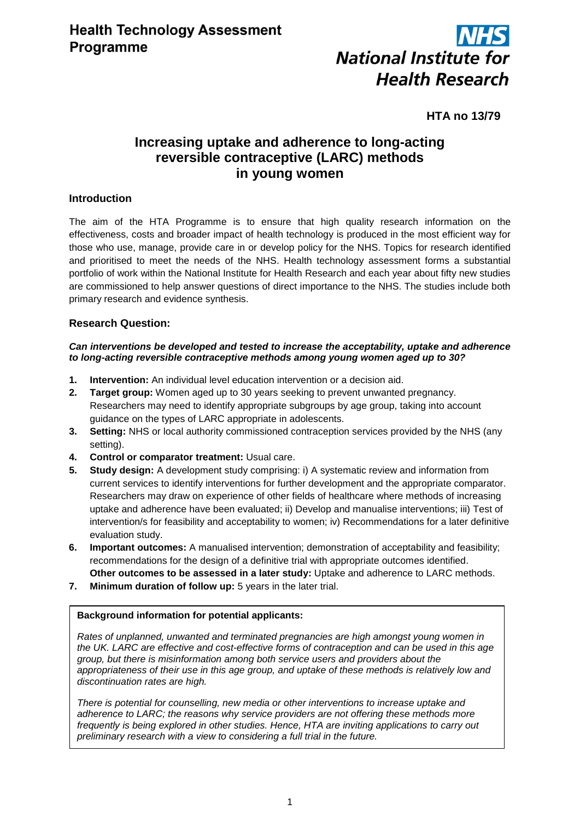

# **HTA no 13/79**

# **Increasing uptake and adherence to long-acting reversible contraceptive (LARC) methods in young women**

# **Introduction**

The aim of the HTA Programme is to ensure that high quality research information on the effectiveness, costs and broader impact of health technology is produced in the most efficient way for those who use, manage, provide care in or develop policy for the NHS. Topics for research identified and prioritised to meet the needs of the NHS. Health technology assessment forms a substantial portfolio of work within the National Institute for Health Research and each year about fifty new studies are commissioned to help answer questions of direct importance to the NHS. The studies include both primary research and evidence synthesis.

# **Research Question:**

#### *Can interventions be developed and tested to increase the acceptability, uptake and adherence to long-acting reversible contraceptive methods among young women aged up to 30?*

- **1. Intervention:** An individual level education intervention or a decision aid.
- **2. Target group:** Women aged up to 30 years seeking to prevent unwanted pregnancy. Researchers may need to identify appropriate subgroups by age group, taking into account guidance on the types of LARC appropriate in adolescents.
- **3. Setting:** NHS or local authority commissioned contraception services provided by the NHS (any setting).
- **4. Control or comparator treatment:** Usual care.
- **5. Study design:** A development study comprising: i) A systematic review and information from current services to identify interventions for further development and the appropriate comparator. Researchers may draw on experience of other fields of healthcare where methods of increasing uptake and adherence have been evaluated; ii) Develop and manualise interventions; iii) Test of intervention/s for feasibility and acceptability to women; iv) Recommendations for a later definitive evaluation study.
- **6.** Important outcomes: A manualised intervention; demonstration of acceptability and feasibility; recommendations for the design of a definitive trial with appropriate outcomes identified. **Other outcomes to be assessed in a later study:** Uptake and adherence to LARC methods.
- **7. Minimum duration of follow up:** 5 years in the later trial.

#### **Background information for potential applicants:**

*Rates of unplanned, unwanted and terminated pregnancies are high amongst young women in the UK. LARC are effective and cost-effective forms of contraception and can be used in this age group, but there is misinformation among both service users and providers about the appropriateness of their use in this age group, and uptake of these methods is relatively low and discontinuation rates are high.*

*There is potential for counselling, new media or other interventions to increase uptake and adherence to LARC; the reasons why service providers are not offering these methods more frequently is being explored in other studies. Hence, HTA are inviting applications to carry out preliminary research with a view to considering a full trial in the future.*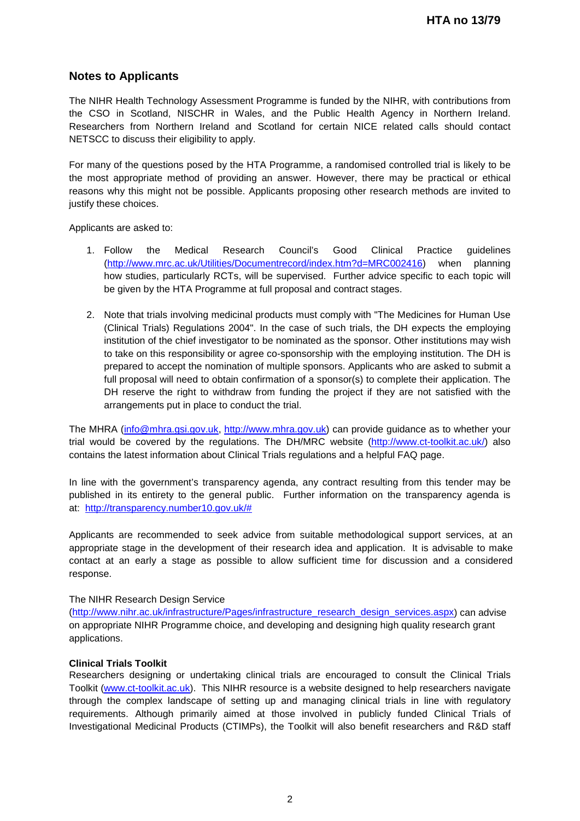# **Notes to Applicants**

The NIHR Health Technology Assessment Programme is funded by the NIHR, with contributions from the CSO in Scotland, NISCHR in Wales, and the Public Health Agency in Northern Ireland. Researchers from Northern Ireland and Scotland for certain NICE related calls should contact NETSCC to discuss their eligibility to apply.

For many of the questions posed by the HTA Programme, a randomised controlled trial is likely to be the most appropriate method of providing an answer. However, there may be practical or ethical reasons why this might not be possible. Applicants proposing other research methods are invited to justify these choices.

Applicants are asked to:

- 1. Follow the Medical Research Council's Good Clinical Practice guidelines [\(http://www.mrc.ac.uk/Utilities/Documentrecord/index.htm?d=MRC002416\)](http://www.mrc.ac.uk/Utilities/Documentrecord/index.htm?d=MRC002416) when planning how studies, particularly RCTs, will be supervised. Further advice specific to each topic will be given by the HTA Programme at full proposal and contract stages.
- 2. Note that trials involving medicinal products must comply with "The Medicines for Human Use (Clinical Trials) Regulations 2004". In the case of such trials, the DH expects the employing institution of the chief investigator to be nominated as the sponsor. Other institutions may wish to take on this responsibility or agree co-sponsorship with the employing institution. The DH is prepared to accept the nomination of multiple sponsors. Applicants who are asked to submit a full proposal will need to obtain confirmation of a sponsor(s) to complete their application. The DH reserve the right to withdraw from funding the project if they are not satisfied with the arrangements put in place to conduct the trial.

The MHRA [\(info@mhra.gsi.gov.uk,](mailto:info@mhra.gsi.gov.uk) [http://www.mhra.gov.uk\)](http://www.mhra.gov.uk/) can provide guidance as to whether your trial would be covered by the regulations. The DH/MRC website [\(http://www.ct-toolkit.ac.uk/\)](http://www.ct-toolkit.ac.uk/) also contains the latest information about Clinical Trials regulations and a helpful FAQ page.

In line with the government's transparency agenda, any contract resulting from this tender may be published in its entirety to the general public. Further information on the transparency agenda is at: [http://transparency.number10.gov.uk/#](http://transparency.number10.gov.uk/)

Applicants are recommended to seek advice from suitable methodological support services, at an appropriate stage in the development of their research idea and application. It is advisable to make contact at an early a stage as possible to allow sufficient time for discussion and a considered response.

#### The NIHR Research Design Service

[\(http://www.nihr.ac.uk/infrastructure/Pages/infrastructure\\_research\\_design\\_services.aspx\)](http://www.nihr.ac.uk/infrastructure/Pages/infrastructure_research_design_services.aspx) can advise on appropriate NIHR Programme choice, and developing and designing high quality research grant applications.

#### **Clinical Trials Toolkit**

Researchers designing or undertaking clinical trials are encouraged to consult the Clinical Trials Toolkit [\(www.ct-toolkit.ac.uk\)](http://www.ct-toolkit.ac.uk/home). This NIHR resource is a website designed to help researchers navigate through the complex landscape of setting up and managing clinical trials in line with regulatory requirements. Although primarily aimed at those involved in publicly funded Clinical Trials of Investigational Medicinal Products (CTIMPs), the Toolkit will also benefit researchers and R&D staff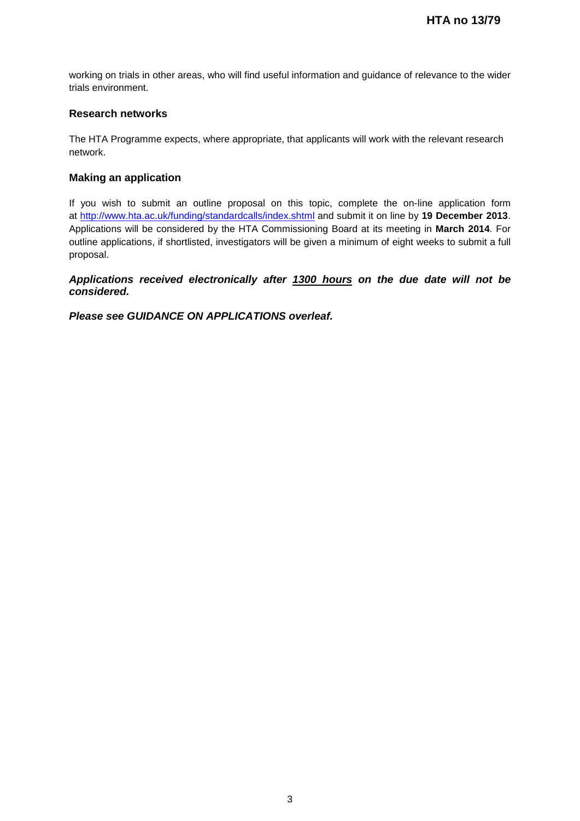working on trials in other areas, who will find useful information and guidance of relevance to the wider trials environment.

### **Research networks**

The HTA Programme expects, where appropriate, that applicants will work with the relevant research network.

### **Making an application**

If you wish to submit an outline proposal on this topic, complete the on-line application form at http://www.hta.ac.uk/funding/standardcalls/index.shtml and submit it on line by **19 December 2013**. Applications will be considered by the HTA Commissioning Board at its meeting in **March 2014**. For outline applications, if shortlisted, investigators will be given a minimum of eight weeks to submit a full proposal.

*Applications received electronically after 1300 hours on the due date will not be considered.*

*Please see GUIDANCE ON APPLICATIONS overleaf.*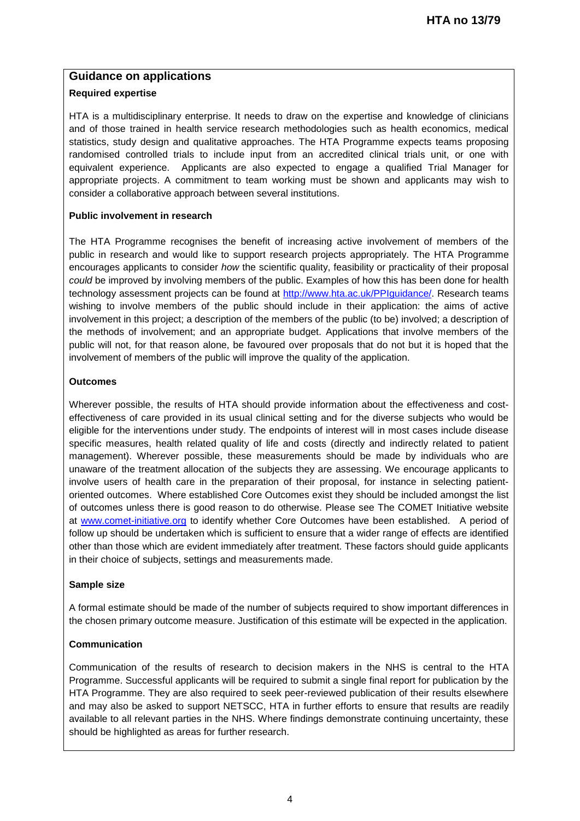# **Guidance on applications**

## **Required expertise**

HTA is a multidisciplinary enterprise. It needs to draw on the expertise and knowledge of clinicians and of those trained in health service research methodologies such as health economics, medical statistics, study design and qualitative approaches. The HTA Programme expects teams proposing randomised controlled trials to include input from an accredited clinical trials unit, or one with equivalent experience. Applicants are also expected to engage a qualified Trial Manager for appropriate projects. A commitment to team working must be shown and applicants may wish to consider a collaborative approach between several institutions.

### **Public involvement in research**

The HTA Programme recognises the benefit of increasing active involvement of members of the public in research and would like to support research projects appropriately. The HTA Programme encourages applicants to consider *how* the scientific quality, feasibility or practicality of their proposal *could* be improved by involving members of the public. Examples of how this has been done for health technology assessment projects can be found at [http://www.hta.ac.uk/PPIguidance/.](http://www.hta.ac.uk/PPIguidance/) Research teams wishing to involve members of the public should include in their application: the aims of active involvement in this project; a description of the members of the public (to be) involved; a description of the methods of involvement; and an appropriate budget. Applications that involve members of the public will not, for that reason alone, be favoured over proposals that do not but it is hoped that the involvement of members of the public will improve the quality of the application.

### **Outcomes**

Wherever possible, the results of HTA should provide information about the effectiveness and costeffectiveness of care provided in its usual clinical setting and for the diverse subjects who would be eligible for the interventions under study. The endpoints of interest will in most cases include disease specific measures, health related quality of life and costs (directly and indirectly related to patient management). Wherever possible, these measurements should be made by individuals who are unaware of the treatment allocation of the subjects they are assessing. We encourage applicants to involve users of health care in the preparation of their proposal, for instance in selecting patientoriented outcomes. Where established Core Outcomes exist they should be included amongst the list of outcomes unless there is good reason to do otherwise. Please see The COMET Initiative website at [www.comet-initiative.org](http://www.comet-initiative.org/) to identify whether Core Outcomes have been established. A period of follow up should be undertaken which is sufficient to ensure that a wider range of effects are identified other than those which are evident immediately after treatment. These factors should guide applicants in their choice of subjects, settings and measurements made.

#### **Sample size**

A formal estimate should be made of the number of subjects required to show important differences in the chosen primary outcome measure. Justification of this estimate will be expected in the application.

# **Communication**

Communication of the results of research to decision makers in the NHS is central to the HTA Programme. Successful applicants will be required to submit a single final report for publication by the HTA Programme. They are also required to seek peer-reviewed publication of their results elsewhere and may also be asked to support NETSCC, HTA in further efforts to ensure that results are readily available to all relevant parties in the NHS. Where findings demonstrate continuing uncertainty, these should be highlighted as areas for further research.